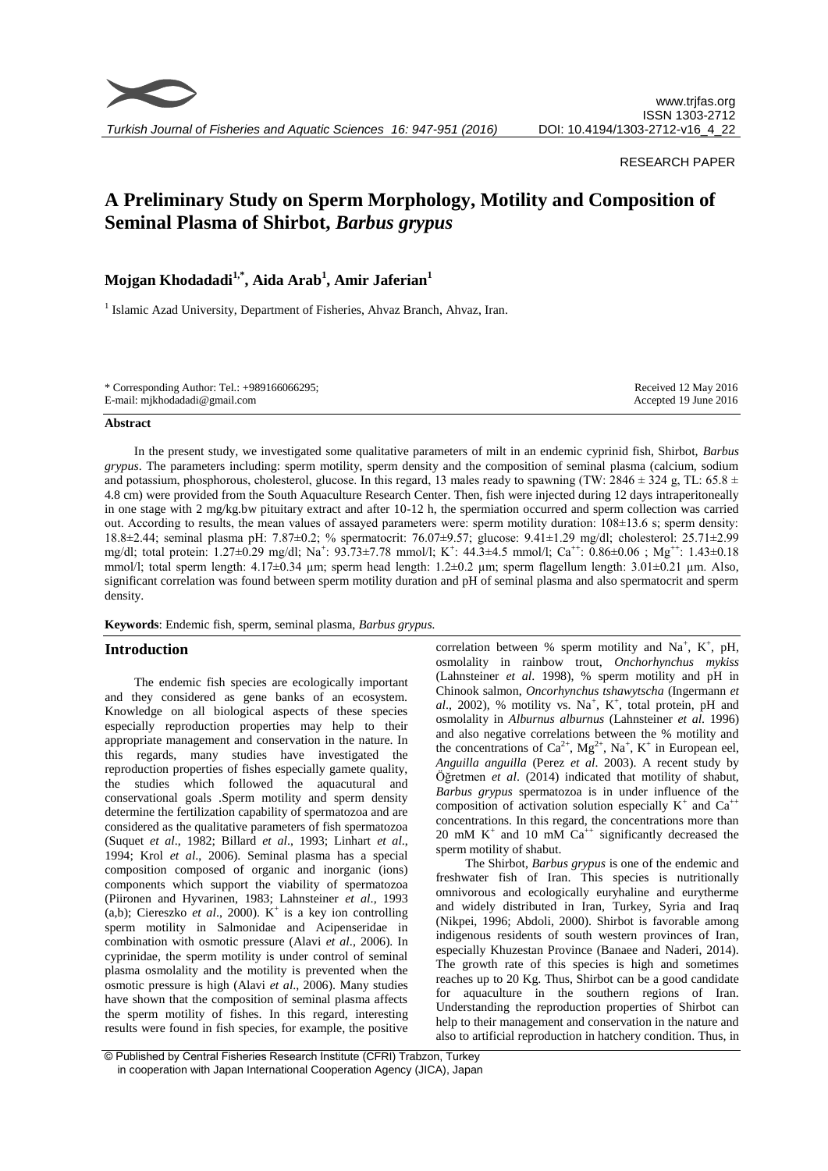

*Turkish Journal of Fisheries and Aquatic Sciences 16: 947-951 (2016)*

#### RESEARCH PAPER

# **A Preliminary Study on Sperm Morphology, Motility and Composition of Seminal Plasma of Shirbot,** *Barbus grypus*

# **Mojgan Khodadadi1,\*, Aida Arab<sup>1</sup> , Amir Jaferian<sup>1</sup>**

<sup>1</sup> Islamic Azad University, Department of Fisheries, Ahvaz Branch, Ahvaz, Iran.

| * Corresponding Author: Tel.: $+989166066295$ ; | Received 12 May 2016  |
|-------------------------------------------------|-----------------------|
| E-mail: mjkhodadadi@gmail.com                   | Accepted 19 June 2016 |

#### **Abstract**

In the present study, we investigated some qualitative parameters of milt in an endemic cyprinid fish, Shirbot, *Barbus grypus*. The parameters including: sperm motility, sperm density and the composition of seminal plasma (calcium, sodium and potassium, phosphorous, cholesterol, glucose. In this regard, 13 males ready to spawning (TW:  $2846 \pm 324$  g, TL:  $65.8 \pm 12.5$ 4.8 cm) were provided from th[e South Aquaculture Research Center.](http://en.ifro.ir/SouthAquacultureResearchCenter.aspx) Then, fish were injected during 12 days intraperitoneally in one stage with 2 mg/kg.bw pituitary extract and after 10-12 h, the spermiation occurred and sperm collection was carried out. According to results, the mean values of assayed parameters were: sperm motility duration: 108±13.6 s; sperm density: 18.8±2.44; seminal plasma pH: 7.87±0.2; % spermatocrit: 76.07±9.57; glucose: 9.41±1.29 mg/dl; cholesterol: 25.71±2.99 mg/dl; total protein: 1.27±0.29 mg/dl; Na<sup>+</sup>: 93.73±7.78 mmol/l; K<sup>+</sup>: 44.3±4.5 mmol/l; Ca<sup>++</sup>: 0.86±0.06; Mg<sup>++</sup>: 1.43±0.18 mmol/l; total sperm length: 4.17±0.34 µm; sperm head length: 1.2±0.2 µm; sperm flagellum length: 3.01±0.21 µm. Also, significant correlation was found between sperm motility duration and pH of seminal plasma and also spermatocrit and sperm density.

**Keywords**: Endemic fish, sperm, seminal plasma, *Barbus grypus.*

# **Introduction**

The endemic fish species are ecologically important and they considered as gene banks of an ecosystem. Knowledge on all biological aspects of these species especially reproduction properties may help to their appropriate management and conservation in the nature. In this regards, many studies have investigated the reproduction properties of fishes especially gamete quality, the studies which followed the aquacutural and conservational goals .Sperm motility and sperm density determine the fertilization capability of spermatozoa and are considered as the qualitative parameters of fish spermatozoa (Suquet *et al*., 1982; Billard *et al*., 1993; Linhart *et al*., 1994; Krol *et al*., 2006). Seminal plasma has a special composition composed of organic and inorganic (ions) components which support the viability of spermatozoa (Piironen and Hyvarinen, 1983; Lahnsteiner *et al*., 1993  $(a,b)$ ; Ciereszko *et al.*, 2000). K<sup>+</sup> is a key ion controlling sperm motility in Salmonidae and Acipenseridae in combination with osmotic pressure (Alavi *et al*., 2006). In cyprinidae, the sperm motility is under control of seminal plasma osmolality and the motility is prevented when the osmotic pressure is high (Alavi *et al*., 2006). Many studies have shown that the composition of seminal plasma affects the sperm motility of fishes. In this regard, interesting results were found in fish species, for example, the positive

correlation between % sperm motility and  $Na^+$ ,  $K^+$ , pH, osmolality in rainbow trout, *Onchorhynchus mykiss* (Lahnsteiner *et al*. 1998), % sperm motility and pH in Chinook salmon, *Oncorhynchus tshawytscha* (Ingermann *et*   $al$ , 2002), % motility vs. Na<sup>+</sup>, K<sup>+</sup>, total protein, pH and osmolality in *Alburnus alburnus* (Lahnsteiner *et al*. 1996) and also negative correlations between the % motility and the concentrations of  $Ca^{2+}$ ,  $Mg^{2+}$ ,  $Na^{+}$ ,  $K^{+}$  in European eel, *Anguilla anguilla* (Perez *et al*. 2003). A recent study by Öğretmen *et al*. (2014) indicated that motility of shabut, *Barbus grypus* spermatozoa is in under influence of the composition of activation solution especially  $K^+$  and  $Ca^{++}$ concentrations. In this regard, the concentrations more than 20 mM  $K^+$  and 10 mM  $Ca^{++}$  significantly decreased the sperm motility of shabut.

The Shirbot, *Barbus grypus* is one of the endemic and freshwater fish of Iran. This species is nutritionally omnivorous and ecologically euryhaline and eurytherme and widely distributed in Iran, Turkey, Syria and Iraq (Nikpei, 1996; Abdoli, 2000). Shirbot is favorable among indigenous residents of south western provinces of Iran, especially Khuzestan Province (Banaee and Naderi, 2014). The growth rate of this species is high and sometimes reaches up to 20 Kg. Thus, Shirbot can be a good candidate for aquaculture in the southern regions of Iran. Understanding the reproduction properties of Shirbot can help to their management and conservation in the nature and also to artificial reproduction in hatchery condition. Thus, in

<sup>©</sup> Published by Central Fisheries Research Institute (CFRI) Trabzon, Turkey in cooperation with Japan International Cooperation Agency (JICA), Japan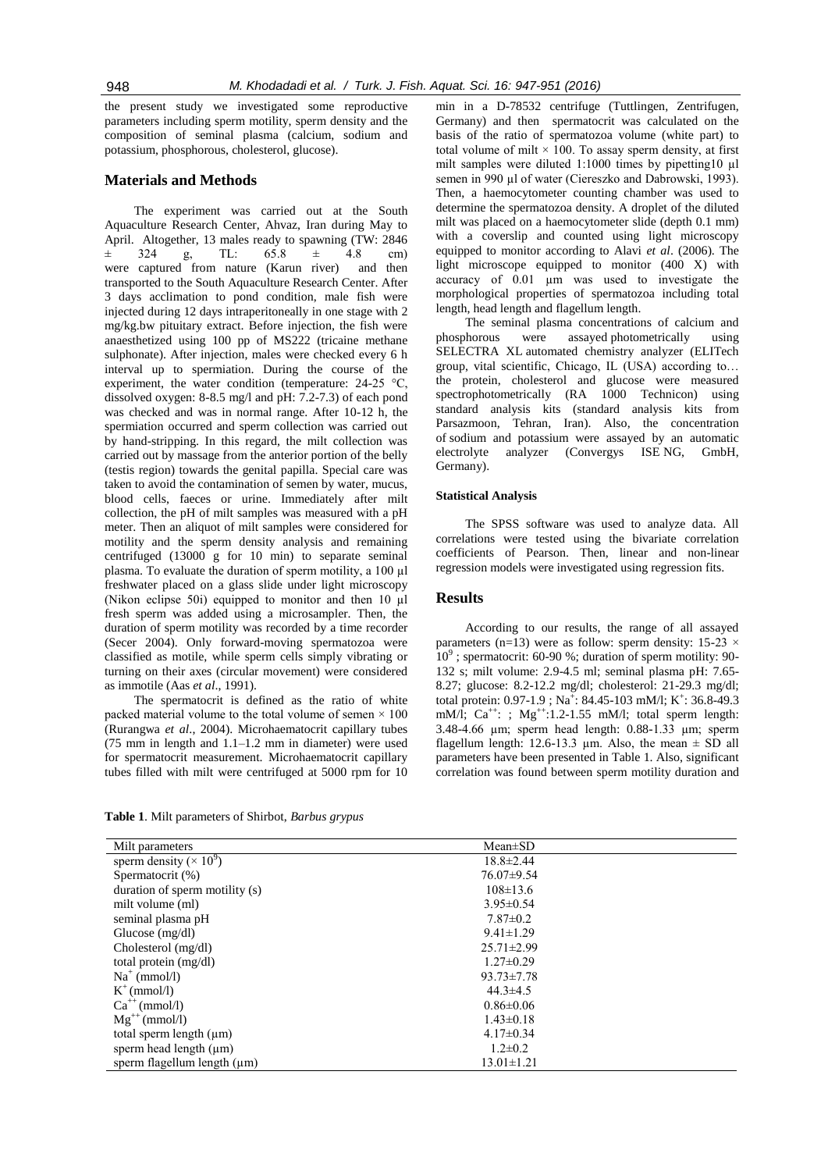the present study we investigated some reproductive parameters including sperm motility, sperm density and the composition of seminal plasma (calcium, sodium and potassium, phosphorous, cholesterol, glucose).

# **Materials and Methods**

The experiment was carried out at the [South](http://en.ifro.ir/SouthAquacultureResearchCenter.aspx)  [Aquaculture Research Center,](http://en.ifro.ir/SouthAquacultureResearchCenter.aspx) Ahvaz, Iran during May to April. Altogether, 13 males ready to spawning (TW: 2846  $\pm$  324 g, TL: 65.8  $\pm$  4.8 cm) were captured from nature (Karun river) and then transported to th[e South Aquaculture Research Center.](http://en.ifro.ir/SouthAquacultureResearchCenter.aspx) After 3 days acclimation to pond condition, male fish were injected during 12 days intraperitoneally in one stage with 2 mg/kg.bw pituitary extract. Before injection, the fish were anaesthetized using 100 pp of MS222 (tricaine methane sulphonate). After injection, males were checked every 6 h interval up to spermiation. During the course of the experiment, the water condition (temperature: 24-25 °C, dissolved oxygen: 8-8.5 mg/l and pH: 7.2-7.3) of each pond was checked and was in normal range. After 10-12 h, the spermiation occurred and sperm collection was carried out by hand-stripping. In this regard, the milt collection was carried out by massage from the anterior portion of the belly (testis region) towards the genital papilla. Special care was taken to avoid the contamination of semen by water, mucus, blood cells, faeces or urine. Immediately after milt collection, the pH of milt samples was measured with a pH meter. Then an aliquot of milt samples were considered for motility and the sperm density analysis and remaining centrifuged (13000 g for 10 min) to separate seminal plasma. To evaluate the duration of sperm motility, a 100 µl freshwater placed on a glass slide under light microscopy (Nikon eclipse 50i) equipped to monitor and then 10 µl fresh sperm was added using a microsampler. Then, the duration of sperm motility was recorded by a time recorder (Secer 2004). Only forward-moving spermatozoa were classified as motile, while sperm cells simply vibrating or turning on their axes (circular movement) were considered as immotile (Aas *et al*., 1991).

The spermatocrit is defined as the ratio of white packed material volume to the total volume of semen  $\times$  100 (Rurangwa *et al*., 2004). Microhaematocrit capillary tubes (75 mm in length and 1.1–1.2 mm in diameter) were used for spermatocrit measurement. Microhaematocrit capillary tubes filled with milt were centrifuged at 5000 rpm for 10

min in a D-78532 centrifuge (Tuttlingen, Zentrifugen, Germany) and then spermatocrit was calculated on the basis of the ratio of spermatozoa volume (white part) to total volume of milt  $\times$  100. To assay sperm density, at first milt samples were diluted 1:1000 times by pipetting10 µl semen in 990 µl of water (Ciereszko and Dabrowski, 1993). Then, a haemocytometer counting chamber was used to determine the spermatozoa density. A droplet of the diluted milt was placed on a haemocytometer slide (depth 0.1 mm) with a coverslip and counted using light microscopy equipped to monitor according to Alavi *et al*. (2006). The light microscope equipped to monitor (400 X) with accuracy of 0.01 µm was used to investigate the morphological properties of spermatozoa including total length, head length and flagellum length.

The seminal plasma concentrations of calcium and phosphorous were assayed photometrically using SELECTRA XL automated chemistry analyzer (ELITech group, vital scientific, Chicago, IL (USA) according to… the protein, cholesterol and glucose were measured spectrophotometrically (RA 1000 Technicon) using standard analysis kits (standard analysis kits from Parsazmoon, Tehran, Iran). Also, the concentration of sodium and potassium were assayed by an automatic electrolyte analyzer (Convergys ISE NG, GmbH, Germany).

#### **Statistical Analysis**

The SPSS software was used to analyze data. All correlations were tested using the bivariate correlation coefficients of Pearson. Then, linear and non-linear regression models were investigated using regression fits.

# **Results**

According to our results, the range of all assayed parameters (n=13) were as follow: sperm density: 15-23  $\times$  $10^9$ ; spermatocrit: 60-90 %; duration of sperm motility: 90-132 s; milt volume: 2.9-4.5 ml; seminal plasma pH: 7.65- 8.27; glucose: 8.2-12.2 mg/dl; cholesterol: 21-29.3 mg/dl; total protein: 0.97-1.9; Na<sup>+</sup>: 84.45-103 mM/l; K<sup>+</sup>: 36.8-49.3 mM/l:  $Ca^{++}$ : : Mg<sup>++</sup>:1.2-1.55 mM/l: total sperm length: 3.48-4.66 µm; sperm head length: 0.88-1.33 µm; sperm flagellum length: 12.6-13.3  $\mu$ m. Also, the mean  $\pm$  SD all parameters have been presented in Table 1. Also, significant correlation was found between sperm motility duration and

**Table 1**. Milt parameters of Shirbot, *Barbus grypus*

| Milt parameters                            | $Mean \pm SD$    |
|--------------------------------------------|------------------|
| sperm density ( $\times$ 10 <sup>9</sup> ) | $18.8 \pm 2.44$  |
| Spermatocrit (%)                           | 76.07±9.54       |
| duration of sperm motility (s)             | $108 \pm 13.6$   |
| milt volume (ml)                           | $3.95 \pm 0.54$  |
| seminal plasma pH                          | $7.87 \pm 0.2$   |
| Glucose $(mg/dl)$                          | $9.41 \pm 1.29$  |
| Cholesterol (mg/dl)                        | $25.71 \pm 2.99$ |
| total protein (mg/dl)                      | $1.27 \pm 0.29$  |
| $Na^+$ (mmol/l)                            | $93.73 \pm 7.78$ |
| $K^+$ (mmol/l)                             | $44.3 \pm 4.5$   |
| $Ca^{++}$ (mmol/l)                         | $0.86 \pm 0.06$  |
| $Mg^{++}$ (mmol/l)                         | $1.43 \pm 0.18$  |
| total sperm length $(\mu m)$               | $4.17\pm0.34$    |
| sperm head length $(\mu m)$                | $1.2 \pm 0.2$    |
| sperm flagellum length $(\mu m)$           | $13.01 \pm 1.21$ |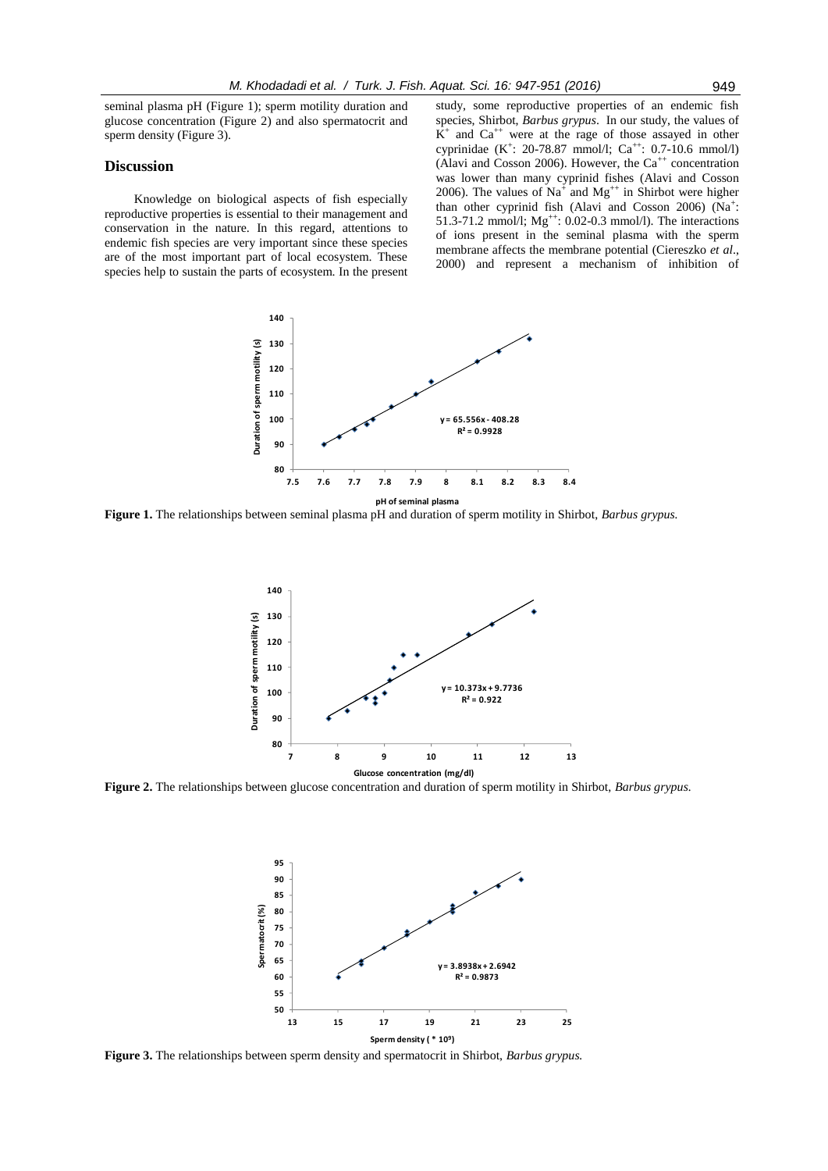seminal plasma pH (Figure 1); sperm motility duration and glucose concentration (Figure 2) and also spermatocrit and sperm density (Figure 3).

### **Discussion**

Knowledge on biological aspects of fish especially reproductive properties is essential to their management and conservation in the nature. In this regard, attentions to endemic fish species are very important since these species are of the most important part of local ecosystem. These species help to sustain the parts of ecosystem. In the present

study, some reproductive properties of an endemic fish species, Shirbot, *Barbus grypus*. In our study, the values of  $\overline{K}^+$  and  $Ca^{++}$  were at the rage of those assayed in other cyprinidae (K<sup>+</sup>: 20-78.87 mmol/l; Ca<sup>++</sup>: 0.7-10.6 mmol/l) (Alavi and Cosson 2006). However, the  $Ca^{++}$  concentration was lower than many cyprinid fishes (Alavi and Cosson 2006). The values of  $Na^+$  and  $Mg^{++}$  in Shirbot were higher than other cyprinid fish (Alavi and Cosson 2006) (Na<sup>+</sup>: 51.3-71.2 mmol/l;  $Mg^{++}$ : 0.02-0.3 mmol/l). The interactions of ions present in the seminal plasma with the sperm membrane affects the membrane potential (Ciereszko *et al*., 2000) and represent a mechanism of inhibition of



**Figure 1.** The relationships between seminal plasma pH and duration of sperm motility in Shirbot, *Barbus grypus.*



**Figure 2.** The relationships between glucose concentration and duration of sperm motility in Shirbot, *Barbus grypus.*



**Figure 3.** The relationships between sperm density and spermatocrit in Shirbot, *Barbus grypus.*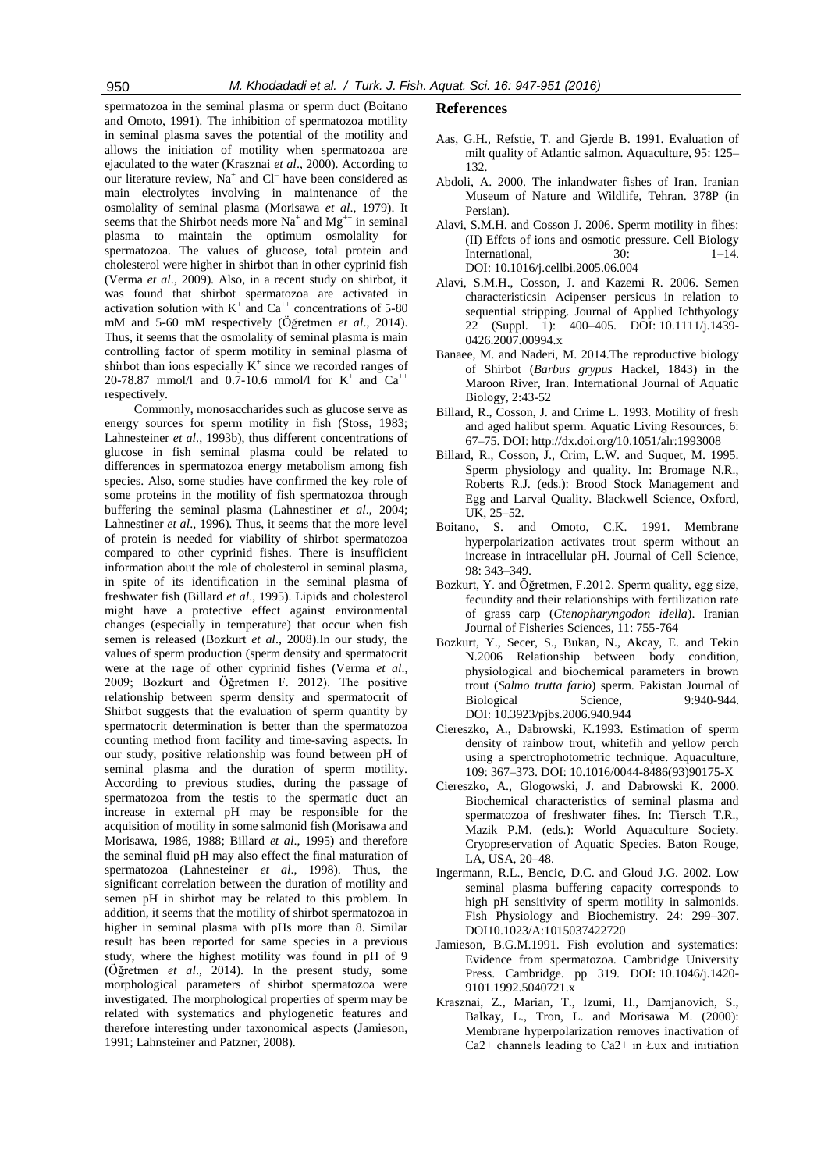spermatozoa in the seminal plasma or sperm duct (Boitano and Omoto, 1991). The inhibition of spermatozoa motility in seminal plasma saves the potential of the motility and allows the initiation of motility when spermatozoa are ejaculated to the water (Krasznai *et al*., 2000). According to our literature review,  $Na^+$  and  $Cl^-$  have been considered as main electrolytes involving in maintenance of the osmolality of seminal plasma (Morisawa *et al*., 1979). It seems that the Shirbot needs more  $Na^+$  and  $Mg^{++}$  in seminal plasma to maintain the optimum osmolality for spermatozoa. The values of glucose, total protein and cholesterol were higher in shirbot than in other cyprinid fish (Verma *et al*., 2009). Also, in a recent study on shirbot, it was found that shirbot spermatozoa are activated in activation solution with  $K^+$  and  $Ca^{++}$  concentrations of 5-80 mM and 5-60 mM respectively (Öğretmen *et al*., 2014). Thus, it seems that the osmolality of seminal plasma is main controlling factor of sperm motility in seminal plasma of shirbot than ions especially  $K^+$  since we recorded ranges of 20-78.87 mmol/l and 0.7-10.6 mmol/l for  $K^+$  and  $Ca^{++}$ respectively.

Commonly, monosaccharides such as glucose serve as energy sources for sperm motility in fish (Stoss, 1983; Lahnesteiner *et al*., 1993b), thus different concentrations of glucose in fish seminal plasma could be related to differences in spermatozoa energy metabolism among fish species. Also, some studies have confirmed the key role of some proteins in the motility of fish spermatozoa through buffering the seminal plasma (Lahnestiner *et al*., 2004; Lahnestiner *et al*., 1996). Thus, it seems that the more level of protein is needed for viability of shirbot spermatozoa compared to other cyprinid fishes. There is insufficient information about the role of cholesterol in seminal plasma, in spite of its identification in the seminal plasma of freshwater fish (Billard *et al*., 1995). Lipids and cholesterol might have a protective effect against environmental changes (especially in temperature) that occur when fish semen is released (Bozkurt *et al*., 2008).In our study, the values of sperm production (sperm density and spermatocrit were at the rage of other cyprinid fishes (Verma *et al*., 2009; Bozkurt and Öğretmen F. 2012). The positive relationship between sperm density and spermatocrit of Shirbot suggests that the evaluation of sperm quantity by spermatocrit determination is better than the spermatozoa counting method from facility and time-saving aspects. In our study, positive relationship was found between pH of seminal plasma and the duration of sperm motility. According to previous studies, during the passage of spermatozoa from the testis to the spermatic duct an increase in external pH may be responsible for the acquisition of motility in some salmonid fish (Morisawa and Morisawa, 1986, 1988; Billard *et al*., 1995) and therefore the seminal fluid pH may also effect the final maturation of spermatozoa (Lahnesteiner *et al*., 1998). Thus, the significant correlation between the duration of motility and semen pH in shirbot may be related to this problem. In addition, it seems that the motility of shirbot spermatozoa in higher in seminal plasma with pHs more than 8. Similar result has been reported for same species in a previous study, where the highest motility was found in pH of 9 (Öğretmen *et al*., 2014). In the present study, some morphological parameters of shirbot spermatozoa were investigated. The morphological properties of sperm may be related with systematics and phylogenetic features and therefore interesting under taxonomical aspects (Jamieson, 1991; Lahnsteiner and Patzner, 2008).

#### **References**

- Aas, G.H., Refstie, T. and Gjerde B. 1991. Evaluation of milt quality of Atlantic salmon. Aquaculture, 95: 125– 132.
- Abdoli, A. 2000. The inlandwater fishes of Iran. Iranian Museum of Nature and Wildlife, Tehran. 378P (in Persian).
- Alavi, S.M.H. and Cosson J. 2006. Sperm motility in fihes: (II) Effcts of ions and osmotic pressure. Cell Biology International, 30: 1–14. DOI: 10.1016/j.cellbi.2005.06.004
- Alavi, S.M.H., Cosson, J. and Kazemi R. 2006. Semen characteristicsin Acipenser persicus in relation to sequential stripping. Journal of Applied Ichthyology 22 (Suppl. 1): 400–405. DOI: 10.1111/j.1439- 0426.2007.00994.x
- Banaee, M. and Naderi, M. 2014.The reproductive biology of Shirbot (*Barbus grypus* Hackel, 1843) in the Maroon River, Iran. International Journal of Aquatic Biology, 2:43-52
- Billard, R., Cosson, J. and Crime L. 1993. Motility of fresh and aged halibut sperm. Aquatic Living Resources, 6: 67–75. DOI: <http://dx.doi.org/10.1051/alr:1993008>
- Billard, R., Cosson, J., Crim, L.W. and Suquet, M. 1995. Sperm physiology and quality. In: Bromage N.R., Roberts R.J. (eds.): Brood Stock Management and Egg and Larval Quality. Blackwell Science, Oxford, UK, 25–52.
- Boitano, S. and Omoto, C.K. 1991. Membrane hyperpolarization activates trout sperm without an increase in intracellular pH. Journal of Cell Science, 98: 343–349.
- Bozkurt, Y. and Öğretmen, F.2012. Sperm quality, egg size, fecundity and their relationships with fertilization rate of grass carp (*Ctenopharyngodon idella*). Iranian Journal of Fisheries Sciences, 11: 755-764
- Bozkurt, Y., Secer, S., Bukan, N., Akcay, E. and Tekin N.2006 Relationship between body condition, physiological and biochemical parameters in brown trout (*Salmo trutta fario*) sperm. Pakistan Journal of Biological Science, DOI: [10.3923/pjbs.2006.940.944](http://dx.doi.org/10.3923/pjbs.2006.940.944)
- Ciereszko, A., Dabrowski, K.1993. Estimation of sperm density of rainbow trout, whitefih and yellow perch using a sperctrophotometric technique. Aquaculture, 109: 367–373. DOI: 10.1016/0044-8486(93)90175-X
- Ciereszko, A., Glogowski, J. and Dabrowski K. 2000. Biochemical characteristics of seminal plasma and spermatozoa of freshwater fihes. In: Tiersch T.R., Mazik P.M. (eds.): World Aquaculture Society. Cryopreservation of Aquatic Species. Baton Rouge, LA, USA, 20–48.
- Ingermann, R.L., Bencic, D.C. and Gloud J.G. 2002. Low seminal plasma buffering capacity corresponds to high pH sensitivity of sperm motility in salmonids. Fish Physiology and Biochemistry. 24: 299–307. DO[I10.1023/A:1015037422720](http://dx.doi.org/10.1023%2FA%3A1015037422720)
- Jamieson, B.G.M.1991. Fish evolution and systematics: Evidence from spermatozoa. Cambridge University Press. Cambridge. pp 319. DOI: 10.1046/j.1420- 9101.1992.5040721.x
- Krasznai, Z., Marian, T., Izumi, H., Damjanovich, S., Balkay, L., Tron, L. and Morisawa M. (2000): Membrane hyperpolarization removes inactivation of Ca2+ channels leading to Ca2+ in Łux and initiation